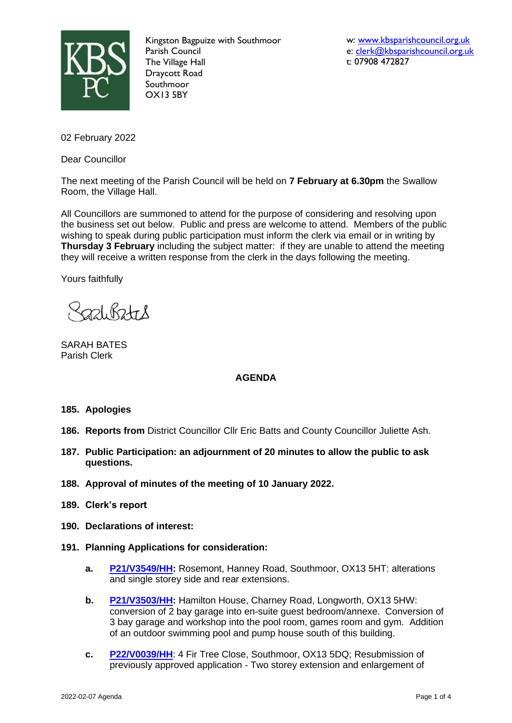

Kingston Bagpuize with Southmoor Parish Council The Village Hall Draycott Road Southmoor OX13 5BY

w: [www.kbsparishcouncil.org.uk](http://www.kbsparishcouncil.org.uk/) e: [clerk@kbsparishcouncil.org.uk](mailto:clerk@kbsparishcouncil.org.uk) t: 07908 472827

02 February 2022

Dear Councillor

The next meeting of the Parish Council will be held on **7 February at 6.30pm** the Swallow Room, the Village Hall.

All Councillors are summoned to attend for the purpose of considering and resolving upon the business set out below. Public and press are welcome to attend. Members of the public wishing to speak during public participation must inform the clerk via email or in writing by **Thursday 3 February** including the subject matter: if they are unable to attend the meeting they will receive a written response from the clerk in the days following the meeting.

Yours faithfully

 $221.62 + 8$ 

SARAH BATES Parish Clerk

# **AGENDA**

### **185. Apologies**

- **186. Reports from** District Councillor Cllr Eric Batts and County Councillor Juliette Ash.
- **187. Public Participation: an adjournment of 20 minutes to allow the public to ask questions.**
- **188. Approval of minutes of the meeting of 10 January 2022.**
- **189. Clerk's report**
- **190. Declarations of interest:**
- **191. Planning Applications for consideration:**
	- **a. [P21/V3549/HH:](https://data.whitehorsedc.gov.uk/java/support/Main.jsp?MODULE=ApplicationDetails&REF=P21/V3549/HH)** Rosemont, Hanney Road, Southmoor, OX13 5HT: alterations and single storey side and rear extensions.
	- **b. [P21/V3503/HH:](https://data.whitehorsedc.gov.uk/java/support/Main.jsp?MODULE=ApplicationDetails&REF=P21/V3503/HH)** Hamilton House, Charney Road, Longworth, OX13 5HW: conversion of 2 bay garage into en-suite guest bedroom/annexe. Conversion of 3 bay garage and workshop into the pool room, games room and gym. Addition of an outdoor swimming pool and pump house south of this building.
	- **c. [P22/V0039/HH](https://data.whitehorsedc.gov.uk/java/support/Main.jsp?MODULE=ApplicationDetails&REF=P22/V0039/HH)**: 4 Fir Tree Close, Southmoor, OX13 5DQ; Resubmission of previously approved application - Two storey extension and enlargement of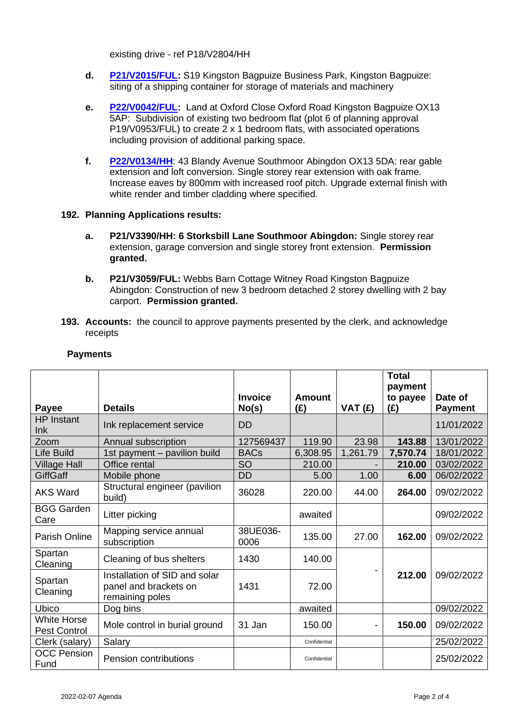existing drive - ref P18/V2804/HH

- **d. [P21/V2015/FUL:](https://data.whitehorsedc.gov.uk/java/support/Main.jsp?MODULE=ApplicationDetails&REF=P21/V2015/FUL)** S19 Kingston Bagpuize Business Park, Kingston Bagpuize: siting of a shipping container for storage of materials and machinery
- **e. [P22/V0042/FUL:](https://data.whitehorsedc.gov.uk/java/support/Main.jsp?MODULE=ApplicationDetails&REF=P22/V0042/FUL)** Land at Oxford Close Oxford Road Kingston Bagpuize OX13 5AP: Subdivision of existing two bedroom flat (plot 6 of planning approval P19/V0953/FUL) to create 2 x 1 bedroom flats, with associated operations including provision of additional parking space.
- **f. [P22/V0134/HH](https://data.whitehorsedc.gov.uk/java/support/Main.jsp?MODULE=ApplicationDetails&REF=P22/V0134/HH)**: 43 Blandy Avenue Southmoor Abingdon OX13 5DA: rear gable extension and loft conversion. Single storey rear extension with oak frame. Increase eaves by 800mm with increased roof pitch. Upgrade external finish with white render and timber cladding where specified.

## **192. Planning Applications results:**

- **a. P21/V3390/HH: 6 Storksbill Lane Southmoor Abingdon:** Single storey rear extension, garage conversion and single storey front extension. **Permission granted.**
- **b. P21/V3059/FUL:** Webbs Barn Cottage Witney Road Kingston Bagpuize Abingdon: Construction of new 3 bedroom detached 2 storey dwelling with 2 bay carport. **Permission granted.**
- **193. Accounts:** the council to approve payments presented by the clerk, and acknowledge receipts

|                                    |                                                                           | Invoice          | Amount       |          | <b>Total</b><br>payment<br>to payee | Date of        |
|------------------------------------|---------------------------------------------------------------------------|------------------|--------------|----------|-------------------------------------|----------------|
| <b>Payee</b>                       | <b>Details</b>                                                            | No(s)            | (E)          | VAT(E)   | (£)                                 | <b>Payment</b> |
| <b>HP</b> Instant<br>Ink           | Ink replacement service                                                   | <b>DD</b>        |              |          |                                     | 11/01/2022     |
| Zoom                               | Annual subscription                                                       | 127569437        | 119.90       | 23.98    | 143.88                              | 13/01/2022     |
| Life Build                         | 1st payment - pavilion build                                              | <b>BACs</b>      | 6,308.95     | 1,261.79 | 7,570.74                            | 18/01/2022     |
| Village Hall                       | Office rental                                                             | <b>SO</b>        | 210.00       |          | 210.00                              | 03/02/2022     |
| <b>GiffGaff</b>                    | Mobile phone                                                              | <b>DD</b>        | 5.00         | 1.00     | 6.00                                | 06/02/2022     |
| <b>AKS Ward</b>                    | Structural engineer (pavilion<br>build)                                   | 36028            | 220.00       | 44.00    | 264.00                              | 09/02/2022     |
| <b>BGG Garden</b><br>Care          | Litter picking                                                            |                  | awaited      |          |                                     | 09/02/2022     |
| <b>Parish Online</b>               | Mapping service annual<br>subscription                                    | 38UE036-<br>0006 | 135.00       | 27.00    | 162.00                              | 09/02/2022     |
| Spartan<br>Cleaning                | Cleaning of bus shelters                                                  | 1430             | 140.00       |          |                                     |                |
| Spartan<br>Cleaning                | Installation of SID and solar<br>panel and brackets on<br>remaining poles | 1431             | 72.00        |          | 212.00                              | 09/02/2022     |
| <b>Ubico</b>                       | Dog bins                                                                  |                  | awaited      |          |                                     | 09/02/2022     |
| <b>White Horse</b><br>Pest Control | Mole control in burial ground                                             | 31 Jan           | 150.00       | 150.00   |                                     | 09/02/2022     |
| Clerk (salary)                     | Salary                                                                    |                  | Confidential |          |                                     | 25/02/2022     |
| <b>OCC Pension</b><br>Fund         | <b>Pension contributions</b>                                              |                  | Confidential |          |                                     | 25/02/2022     |

# **Payments**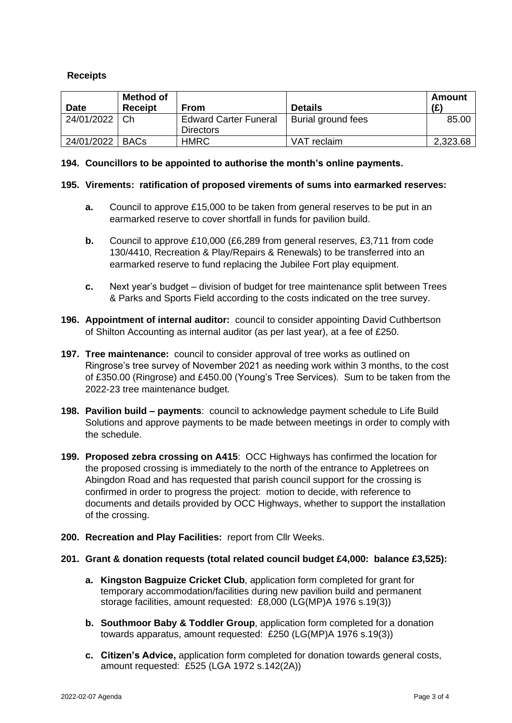## **Receipts**

| <b>Date</b> | <b>Method of</b><br><b>Receipt</b> | <b>From</b>                                      | <b>Details</b>     | Amount<br>(E) |
|-------------|------------------------------------|--------------------------------------------------|--------------------|---------------|
| 24/01/2022  | Ch                                 | <b>Edward Carter Funeral</b><br><b>Directors</b> | Burial ground fees | 85.00         |
| 24/01/2022  | <b>BACs</b>                        | <b>HMRC</b>                                      | VAT reclaim        | 2,323.68      |

### **194. Councillors to be appointed to authorise the month's online payments.**

### **195. Virements: ratification of proposed virements of sums into earmarked reserves:**

- **a.** Council to approve £15,000 to be taken from general reserves to be put in an earmarked reserve to cover shortfall in funds for pavilion build.
- **b.** Council to approve £10,000 (£6,289 from general reserves, £3,711 from code 130/4410, Recreation & Play/Repairs & Renewals) to be transferred into an earmarked reserve to fund replacing the Jubilee Fort play equipment.
- **c.** Next year's budget division of budget for tree maintenance split between Trees & Parks and Sports Field according to the costs indicated on the tree survey.
- **196. Appointment of internal auditor:** council to consider appointing David Cuthbertson of Shilton Accounting as internal auditor (as per last year), at a fee of £250.
- **197. Tree maintenance:** council to consider approval of tree works as outlined on Ringrose's tree survey of November 2021 as needing work within 3 months, to the cost of £350.00 (Ringrose) and £450.00 (Young's Tree Services). Sum to be taken from the 2022-23 tree maintenance budget.
- **198. Pavilion build – payments**: council to acknowledge payment schedule to Life Build Solutions and approve payments to be made between meetings in order to comply with the schedule.
- **199. Proposed zebra crossing on A415**: OCC Highways has confirmed the location for the proposed crossing is immediately to the north of the entrance to Appletrees on Abingdon Road and has requested that parish council support for the crossing is confirmed in order to progress the project: motion to decide, with reference to documents and details provided by OCC Highways, whether to support the installation of the crossing.
- **200. Recreation and Play Facilities:** report from Cllr Weeks.

### **201. Grant & donation requests (total related council budget £4,000: balance £3,525):**

- **a. Kingston Bagpuize Cricket Club**, application form completed for grant for temporary accommodation/facilities during new pavilion build and permanent storage facilities, amount requested: £8,000 (LG(MP)A 1976 s.19(3))
- **b. Southmoor Baby & Toddler Group**, application form completed for a donation towards apparatus, amount requested: £250 (LG(MP)A 1976 s.19(3))
- **c. Citizen's Advice,** application form completed for donation towards general costs, amount requested: £525 (LGA 1972 s.142(2A))